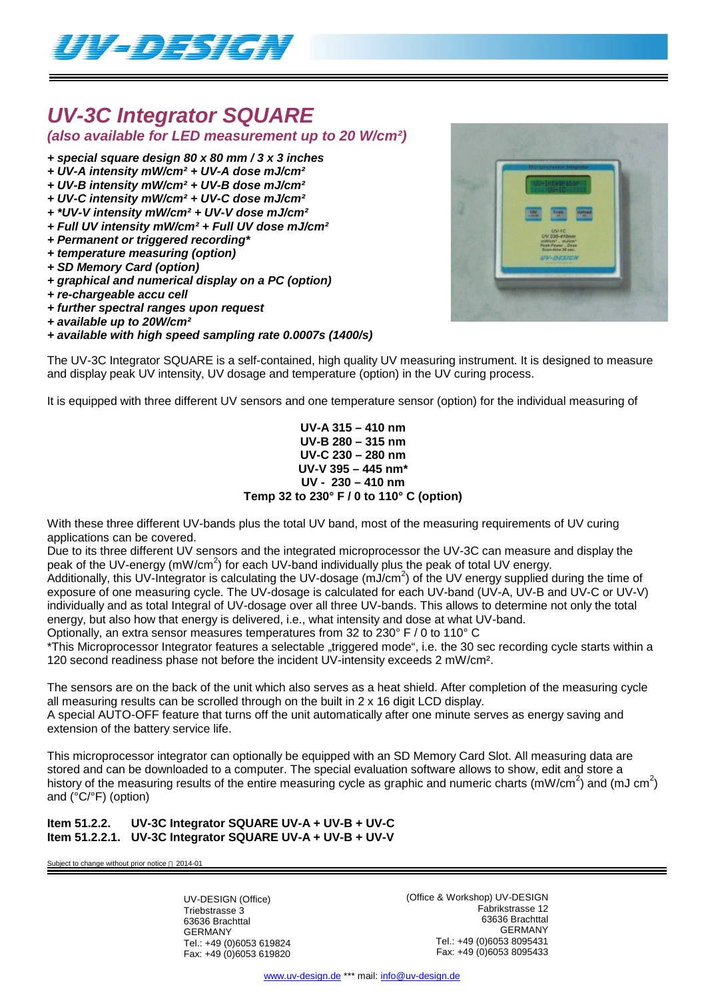

## *UV-3C Integrator SQUARE*

### *(also available for LED measurement up to 20 W/cm²)*

#### *+ special square design 80 x 80 mm / 3 x 3 inches*

- *+ UV-A intensity mW/cm² + UV-A dose mJ/cm²*
- *+ UV-B intensity mW/cm² + UV-B dose mJ/cm²*
- *+ UV-C intensity mW/cm² + UV-C dose mJ/cm²*
- *+ \*UV-V intensity mW/cm² + UV-V dose mJ/cm²*
- *+ Full UV intensity mW/cm² + Full UV dose mJ/cm²*
- *+ Permanent or triggered recording\**
- *+ temperature measuring (option)*
- *+ SD Memory Card (option)*
- *+ graphical and numerical display on a PC (option)*
- *+ re-chargeable accu cell*
- *+ further spectral ranges upon request*
- *+ available up to 20W/cm²*
- *+ available with high speed sampling rate 0.0007s (1400/s)*

The UV-3C Integrator SQUARE is a self-contained, high quality UV measuring instrument. It is designed to measure and display peak UV intensity, UV dosage and temperature (option) in the UV curing process.

It is equipped with three different UV sensors and one temperature sensor (option) for the individual measuring of

#### **UV-A 315 – 410 nm UV-B 280 – 315 nm UV-C 230 – 280 nm UV-V 395 – 445 nm\* UV - 230 – 410 nm Temp 32 to 230° F / 0 to 110° C (option)**

With these three different UV-bands plus the total UV band, most of the measuring requirements of UV curing applications can be covered.

Due to its three different UV sensors and the integrated microprocessor the UV-3C can measure and display the peak of the UV-energy (mW/cm<sup>2</sup>) for each UV-band individually plus the peak of total UV energy.

.<br>Additionally, this UV-Integrator is calculating the UV-dosage (mJ/cm<sup>2</sup>) of the UV energy supplied during the time of exposure of one measuring cycle. The UV-dosage is calculated for each UV-band (UV-A, UV-B and UV-C or UV-V) individually and as total Integral of UV-dosage over all three UV-bands. This allows to determine not only the total energy, but also how that energy is delivered, i.e., what intensity and dose at what UV-band.

Optionally, an extra sensor measures temperatures from 32 to 230° F / 0 to 110° C

\*This Microprocessor Integrator features a selectable "triggered mode", i.e. the 30 sec recording cycle starts within a 120 second readiness phase not before the incident UV-intensity exceeds 2 mW/cm².

The sensors are on the back of the unit which also serves as a heat shield. After completion of the measuring cycle all measuring results can be scrolled through on the built in 2 x 16 digit LCD display.

A special AUTO-OFF feature that turns off the unit automatically after one minute serves as energy saving and extension of the battery service life.

This microprocessor integrator can optionally be equipped with an SD Memory Card Slot. All measuring data are stored and can be downloaded to a computer. The special evaluation software allows to show, edit and store a history of the measuring results of the entire measuring cycle as graphic and numeric charts (mW/cm<sup>2</sup>) and (mJ cm<sup>2</sup>) and (°C/°F) (option)

#### **Item 51.2.2. UV-3C Integrator SQUARE UV-A + UV-B + UV-C Item 51.2.2.1. UV-3C Integrator SQUARE UV-A + UV-B + UV-V**

Subject to change without prior notice  $@$  2014-01

UV-DESIGN (Office) Triebstrasse 3 63636 Brachttal GERMANY Tel.: +49 (0)6053 619824 Fax: +49 (0)6053 619820 (Office & Workshop) UV-DESIGN Fabrikstrasse 12 63636 Brachttal GERMANY Tel.: +49 (0)6053 8095431 Fax: +49 (0)6053 8095433